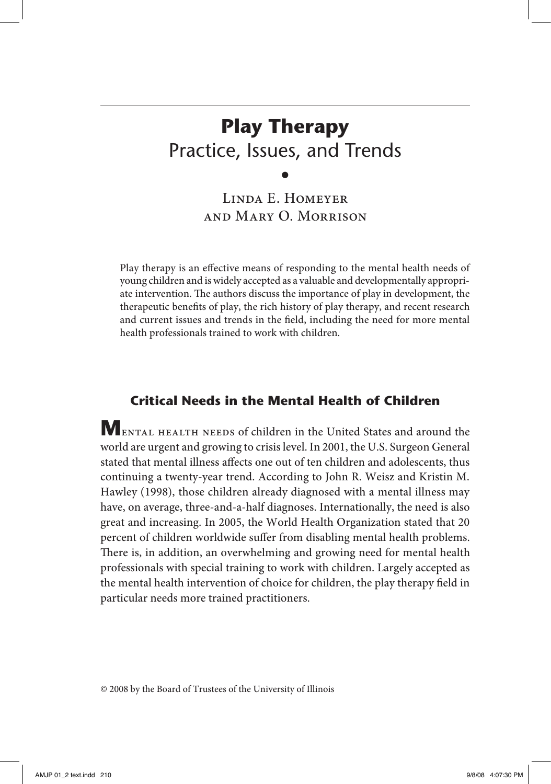# **Play Therapy** Practice, Issues, and Trends

Linda E. Homeyer and Mary O. Morrison

•

Play therapy is an effective means of responding to the mental health needs of young children and is widely accepted as a valuable and developmentally appropriate intervention. The authors discuss the importance of play in development, the therapeutic benefits of play, the rich history of play therapy, and recent research and current issues and trends in the field, including the need for more mental health professionals trained to work with children.

# **Critical Needs in the Mental Health of Children**

**M**ental health needs of children in the United States and around the world are urgent and growing to crisis level. In 2001, the U.S. Surgeon General stated that mental illness affects one out of ten children and adolescents, thus continuing a twenty-year trend. According to John R. Weisz and Kristin M. Hawley (1998), those children already diagnosed with a mental illness may have, on average, three-and-a-half diagnoses. Internationally, the need is also great and increasing. In 2005, the World Health Organization stated that 20 percent of children worldwide suffer from disabling mental health problems. There is, in addition, an overwhelming and growing need for mental health professionals with special training to work with children. Largely accepted as the mental health intervention of choice for children, the play therapy field in particular needs more trained practitioners.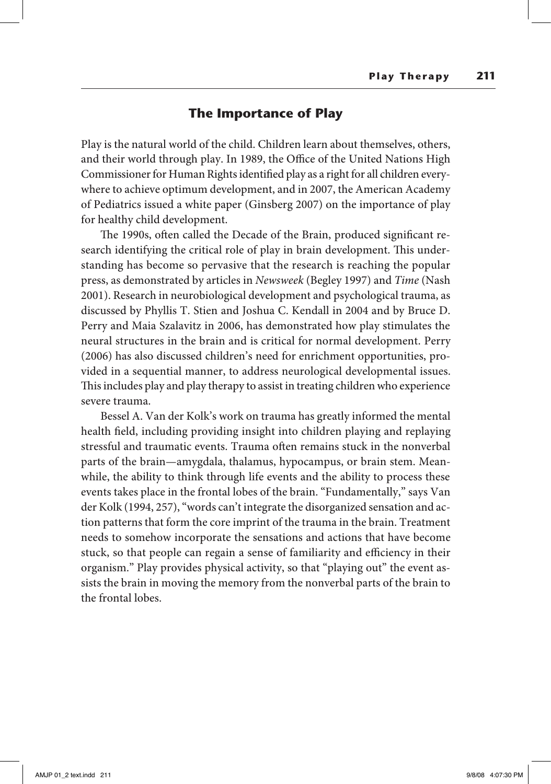#### **The Importance of Play**

Play is the natural world of the child. Children learn about themselves, others, and their world through play. In 1989, the Office of the United Nations High Commissioner for Human Rights identified play as a right for all children everywhere to achieve optimum development, and in 2007, the American Academy of Pediatrics issued a white paper (Ginsberg 2007) on the importance of play for healthy child development.

The 1990s, often called the Decade of the Brain, produced significant research identifying the critical role of play in brain development. This understanding has become so pervasive that the research is reaching the popular press, as demonstrated by articles in *Newsweek* (Begley 1997) and *Time* (Nash 2001). Research in neurobiological development and psychological trauma, as discussed by Phyllis T. Stien and Joshua C. Kendall in 2004 and by Bruce D. Perry and Maia Szalavitz in 2006, has demonstrated how play stimulates the neural structures in the brain and is critical for normal development. Perry (2006) has also discussed children's need for enrichment opportunities, provided in a sequential manner, to address neurological developmental issues. This includes play and play therapy to assist in treating children who experience severe trauma.

Bessel A. Van der Kolk's work on trauma has greatly informed the mental health field, including providing insight into children playing and replaying stressful and traumatic events. Trauma often remains stuck in the nonverbal parts of the brain—amygdala, thalamus, hypocampus, or brain stem. Meanwhile, the ability to think through life events and the ability to process these events takes place in the frontal lobes of the brain. "Fundamentally," says Van der Kolk (1994, 257), "words can't integrate the disorganized sensation and action patterns that form the core imprint of the trauma in the brain. Treatment needs to somehow incorporate the sensations and actions that have become stuck, so that people can regain a sense of familiarity and efficiency in their organism." Play provides physical activity, so that "playing out" the event assists the brain in moving the memory from the nonverbal parts of the brain to the frontal lobes.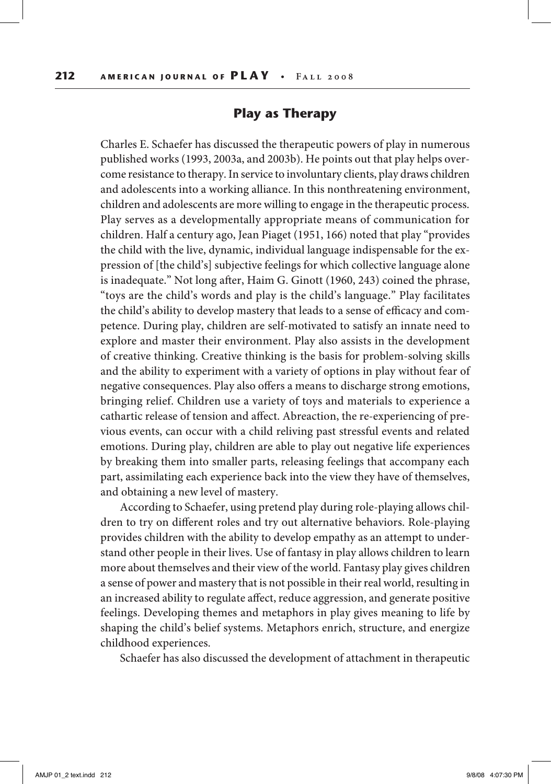## **Play as Therapy**

Charles E. Schaefer has discussed the therapeutic powers of play in numerous published works (1993, 2003a, and 2003b). He points out that play helps overcome resistance to therapy. In service to involuntary clients, play draws children and adolescents into a working alliance. In this nonthreatening environment, children and adolescents are more willing to engage in the therapeutic process. Play serves as a developmentally appropriate means of communication for children. Half a century ago, Jean Piaget (1951, 166) noted that play "provides the child with the live, dynamic, individual language indispensable for the expression of [the child's] subjective feelings for which collective language alone is inadequate." Not long after, Haim G. Ginott (1960, 243) coined the phrase, "toys are the child's words and play is the child's language." Play facilitates the child's ability to develop mastery that leads to a sense of efficacy and competence. During play, children are self-motivated to satisfy an innate need to explore and master their environment. Play also assists in the development of creative thinking. Creative thinking is the basis for problem-solving skills and the ability to experiment with a variety of options in play without fear of negative consequences. Play also offers a means to discharge strong emotions, bringing relief. Children use a variety of toys and materials to experience a cathartic release of tension and affect. Abreaction, the re-experiencing of previous events, can occur with a child reliving past stressful events and related emotions. During play, children are able to play out negative life experiences by breaking them into smaller parts, releasing feelings that accompany each part, assimilating each experience back into the view they have of themselves, and obtaining a new level of mastery.

According to Schaefer, using pretend play during role-playing allows children to try on different roles and try out alternative behaviors. Role-playing provides children with the ability to develop empathy as an attempt to understand other people in their lives. Use of fantasy in play allows children to learn more about themselves and their view of the world. Fantasy play gives children a sense of power and mastery that is not possible in their real world, resulting in an increased ability to regulate affect, reduce aggression, and generate positive feelings. Developing themes and metaphors in play gives meaning to life by shaping the child's belief systems. Metaphors enrich, structure, and energize childhood experiences.

Schaefer has also discussed the development of attachment in therapeutic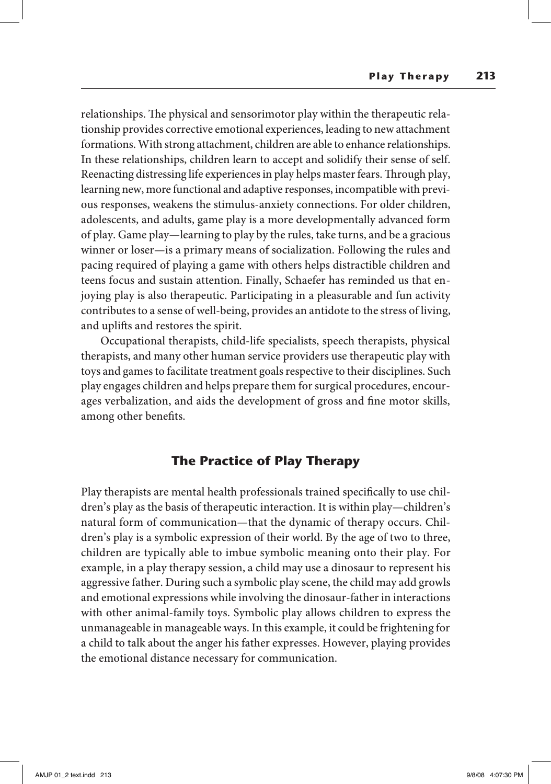relationships. The physical and sensorimotor play within the therapeutic relationship provides corrective emotional experiences, leading to new attachment formations. With strong attachment, children are able to enhance relationships. In these relationships, children learn to accept and solidify their sense of self. Reenacting distressing life experiences in play helps master fears. Through play, learning new, more functional and adaptive responses, incompatible with previous responses, weakens the stimulus-anxiety connections. For older children, adolescents, and adults, game play is a more developmentally advanced form of play. Game play—learning to play by the rules, take turns, and be a gracious winner or loser—is a primary means of socialization. Following the rules and pacing required of playing a game with others helps distractible children and teens focus and sustain attention. Finally, Schaefer has reminded us that enjoying play is also therapeutic. Participating in a pleasurable and fun activity contributes to a sense of well-being, provides an antidote to the stress of living, and uplifts and restores the spirit.

Occupational therapists, child-life specialists, speech therapists, physical therapists, and many other human service providers use therapeutic play with toys and games to facilitate treatment goals respective to their disciplines. Such play engages children and helps prepare them for surgical procedures, encourages verbalization, and aids the development of gross and fine motor skills, among other benefits.

# **The Practice of Play Therapy**

Play therapists are mental health professionals trained specifically to use children's play as the basis of therapeutic interaction. It is within play—children's natural form of communication—that the dynamic of therapy occurs. Children's play is a symbolic expression of their world. By the age of two to three, children are typically able to imbue symbolic meaning onto their play. For example, in a play therapy session, a child may use a dinosaur to represent his aggressive father. During such a symbolic play scene, the child may add growls and emotional expressions while involving the dinosaur-father in interactions with other animal-family toys. Symbolic play allows children to express the unmanageable in manageable ways. In this example, it could be frightening for a child to talk about the anger his father expresses. However, playing provides the emotional distance necessary for communication.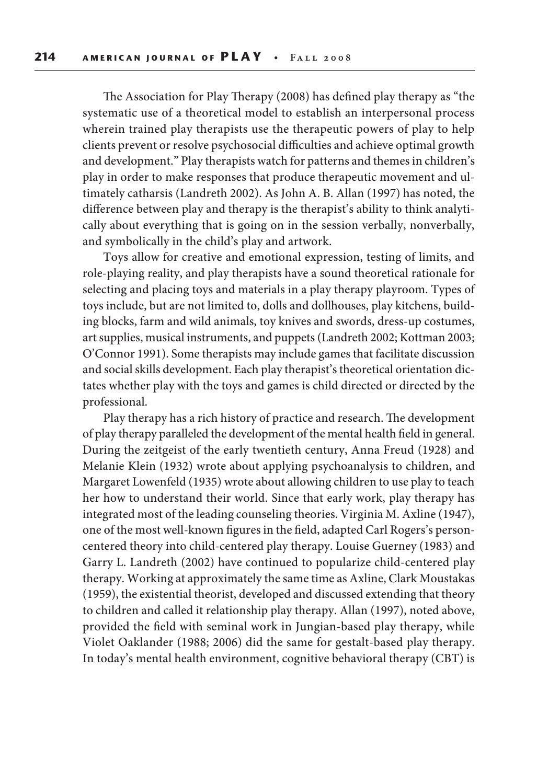The Association for Play Therapy (2008) has defined play therapy as "the systematic use of a theoretical model to establish an interpersonal process wherein trained play therapists use the therapeutic powers of play to help clients prevent or resolve psychosocial difficulties and achieve optimal growth and development." Play therapists watch for patterns and themes in children's play in order to make responses that produce therapeutic movement and ultimately catharsis (Landreth 2002). As John A. B. Allan (1997) has noted, the difference between play and therapy is the therapist's ability to think analytically about everything that is going on in the session verbally, nonverbally, and symbolically in the child's play and artwork.

Toys allow for creative and emotional expression, testing of limits, and role-playing reality, and play therapists have a sound theoretical rationale for selecting and placing toys and materials in a play therapy playroom. Types of toys include, but are not limited to, dolls and dollhouses, play kitchens, building blocks, farm and wild animals, toy knives and swords, dress-up costumes, art supplies, musical instruments, and puppets (Landreth 2002; Kottman 2003; O'Connor 1991). Some therapists may include games that facilitate discussion and social skills development. Each play therapist's theoretical orientation dictates whether play with the toys and games is child directed or directed by the professional.

Play therapy has a rich history of practice and research. The development of play therapy paralleled the development of the mental health field in general. During the zeitgeist of the early twentieth century, Anna Freud (1928) and Melanie Klein (1932) wrote about applying psychoanalysis to children, and Margaret Lowenfeld (1935) wrote about allowing children to use play to teach her how to understand their world. Since that early work, play therapy has integrated most of the leading counseling theories. Virginia M. Axline (1947), one of the most well-known figures in the field, adapted Carl Rogers's personcentered theory into child-centered play therapy. Louise Guerney (1983) and Garry L. Landreth (2002) have continued to popularize child-centered play therapy. Working at approximately the same time as Axline, Clark Moustakas (1959), the existential theorist, developed and discussed extending that theory to children and called it relationship play therapy. Allan (1997), noted above, provided the field with seminal work in Jungian-based play therapy, while Violet Oaklander (1988; 2006) did the same for gestalt-based play therapy. In today's mental health environment, cognitive behavioral therapy (CBT) is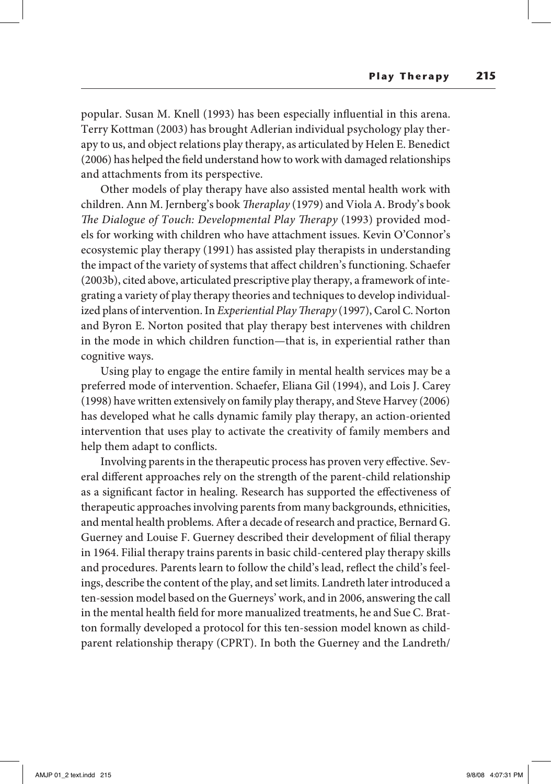popular. Susan M. Knell (1993) has been especially influential in this arena. Terry Kottman (2003) has brought Adlerian individual psychology play therapy to us, and object relations play therapy, as articulated by Helen E. Benedict (2006) has helped the field understand how to work with damaged relationships and attachments from its perspective.

Other models of play therapy have also assisted mental health work with children. Ann M. Jernberg's book *Theraplay* (1979) and Viola A. Brody's book *The Dialogue of Touch: Developmental Play Therapy* (1993) provided models for working with children who have attachment issues. Kevin O'Connor's ecosystemic play therapy (1991) has assisted play therapists in understanding the impact of the variety of systems that affect children's functioning. Schaefer (2003b), cited above, articulated prescriptive play therapy, a framework of integrating a variety of play therapy theories and techniques to develop individualized plans of intervention. In *Experiential Play Therapy* (1997), Carol C. Norton and Byron E. Norton posited that play therapy best intervenes with children in the mode in which children function—that is, in experiential rather than cognitive ways.

Using play to engage the entire family in mental health services may be a preferred mode of intervention. Schaefer, Eliana Gil (1994), and Lois J. Carey (1998) have written extensively on family play therapy, and Steve Harvey (2006) has developed what he calls dynamic family play therapy, an action-oriented intervention that uses play to activate the creativity of family members and help them adapt to conflicts.

Involving parents in the therapeutic process has proven very effective. Several different approaches rely on the strength of the parent-child relationship as a significant factor in healing. Research has supported the effectiveness of therapeutic approaches involving parents from many backgrounds, ethnicities, and mental health problems. After a decade of research and practice, Bernard G. Guerney and Louise F. Guerney described their development of filial therapy in 1964. Filial therapy trains parents in basic child-centered play therapy skills and procedures. Parents learn to follow the child's lead, reflect the child's feelings, describe the content of the play, and set limits. Landreth later introduced a ten-session model based on the Guerneys' work, and in 2006, answering the call in the mental health field for more manualized treatments, he and Sue C. Bratton formally developed a protocol for this ten-session model known as childparent relationship therapy (CPRT). In both the Guerney and the Landreth/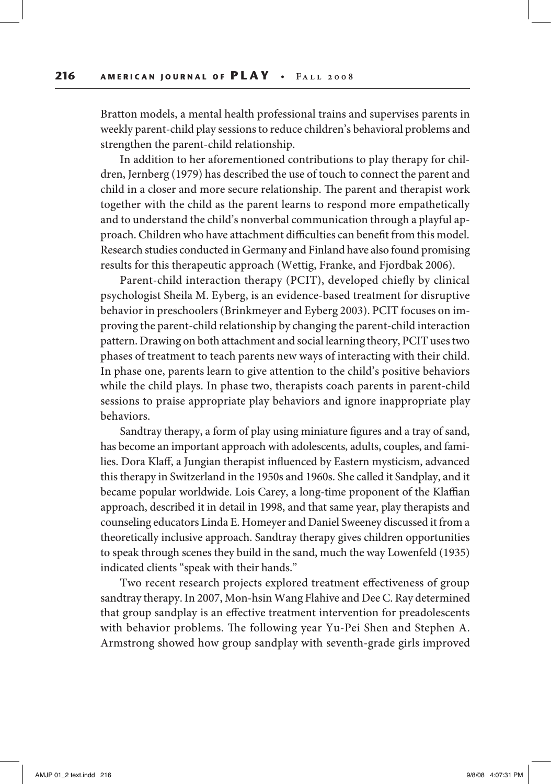Bratton models, a mental health professional trains and supervises parents in weekly parent-child play sessions to reduce children's behavioral problems and strengthen the parent-child relationship.

In addition to her aforementioned contributions to play therapy for children, Jernberg (1979) has described the use of touch to connect the parent and child in a closer and more secure relationship. The parent and therapist work together with the child as the parent learns to respond more empathetically and to understand the child's nonverbal communication through a playful approach. Children who have attachment difficulties can benefit from this model. Research studies conducted in Germany and Finland have also found promising results for this therapeutic approach (Wettig, Franke, and Fjordbak 2006).

Parent-child interaction therapy (PCIT), developed chiefly by clinical psychologist Sheila M. Eyberg, is an evidence-based treatment for disruptive behavior in preschoolers (Brinkmeyer and Eyberg 2003). PCIT focuses on improving the parent-child relationship by changing the parent-child interaction pattern. Drawing on both attachment and social learning theory, PCIT uses two phases of treatment to teach parents new ways of interacting with their child. In phase one, parents learn to give attention to the child's positive behaviors while the child plays. In phase two, therapists coach parents in parent-child sessions to praise appropriate play behaviors and ignore inappropriate play behaviors.

Sandtray therapy, a form of play using miniature figures and a tray of sand, has become an important approach with adolescents, adults, couples, and families. Dora Klaff, a Jungian therapist influenced by Eastern mysticism, advanced this therapy in Switzerland in the 1950s and 1960s. She called it Sandplay, and it became popular worldwide. Lois Carey, a long-time proponent of the Klaffian approach, described it in detail in 1998, and that same year, play therapists and counseling educators Linda E. Homeyer and Daniel Sweeney discussed it from a theoretically inclusive approach. Sandtray therapy gives children opportunities to speak through scenes they build in the sand, much the way Lowenfeld (1935) indicated clients "speak with their hands."

Two recent research projects explored treatment effectiveness of group sandtray therapy. In 2007, Mon-hsin Wang Flahive and Dee C. Ray determined that group sandplay is an effective treatment intervention for preadolescents with behavior problems. The following year Yu-Pei Shen and Stephen A. Armstrong showed how group sandplay with seventh-grade girls improved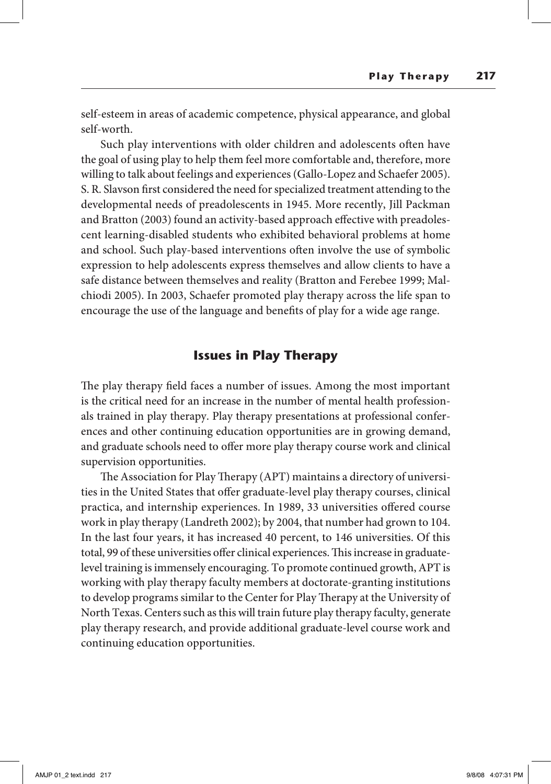self-esteem in areas of academic competence, physical appearance, and global self-worth.

Such play interventions with older children and adolescents often have the goal of using play to help them feel more comfortable and, therefore, more willing to talk about feelings and experiences (Gallo-Lopez and Schaefer 2005). S. R. Slavson first considered the need for specialized treatment attending to the developmental needs of preadolescents in 1945. More recently, Jill Packman and Bratton (2003) found an activity-based approach effective with preadolescent learning-disabled students who exhibited behavioral problems at home and school. Such play-based interventions often involve the use of symbolic expression to help adolescents express themselves and allow clients to have a safe distance between themselves and reality (Bratton and Ferebee 1999; Malchiodi 2005). In 2003, Schaefer promoted play therapy across the life span to encourage the use of the language and benefits of play for a wide age range.

## **Issues in Play Therapy**

The play therapy field faces a number of issues. Among the most important is the critical need for an increase in the number of mental health professionals trained in play therapy. Play therapy presentations at professional conferences and other continuing education opportunities are in growing demand, and graduate schools need to offer more play therapy course work and clinical supervision opportunities.

The Association for Play Therapy (APT) maintains a directory of universities in the United States that offer graduate-level play therapy courses, clinical practica, and internship experiences. In 1989, 33 universities offered course work in play therapy (Landreth 2002); by 2004, that number had grown to 104. In the last four years, it has increased 40 percent, to 146 universities. Of this total, 99 of these universities offer clinical experiences. This increase in graduatelevel training is immensely encouraging. To promote continued growth, APT is working with play therapy faculty members at doctorate-granting institutions to develop programs similar to the Center for Play Therapy at the University of North Texas. Centers such as this will train future play therapy faculty, generate play therapy research, and provide additional graduate-level course work and continuing education opportunities.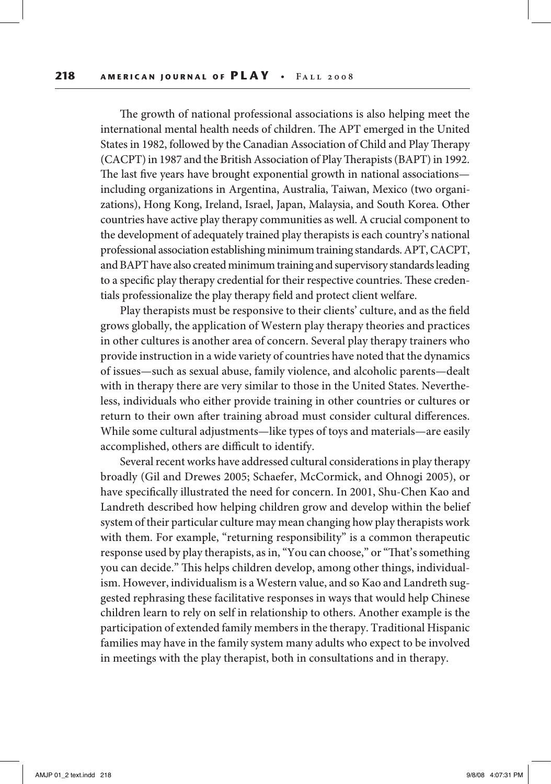The growth of national professional associations is also helping meet the international mental health needs of children. The APT emerged in the United States in 1982, followed by the Canadian Association of Child and Play Therapy (CACPT) in 1987 and the British Association of Play Therapists (BAPT) in 1992. The last five years have brought exponential growth in national associations including organizations in Argentina, Australia, Taiwan, Mexico (two organizations), Hong Kong, Ireland, Israel, Japan, Malaysia, and South Korea. Other countries have active play therapy communities as well. A crucial component to the development of adequately trained play therapists is each country's national professional association establishing minimum training standards. APT, CACPT, and BAPT have also created minimum training and supervisory standards leading to a specific play therapy credential for their respective countries. These credentials professionalize the play therapy field and protect client welfare.

Play therapists must be responsive to their clients' culture, and as the field grows globally, the application of Western play therapy theories and practices in other cultures is another area of concern. Several play therapy trainers who provide instruction in a wide variety of countries have noted that the dynamics of issues—such as sexual abuse, family violence, and alcoholic parents—dealt with in therapy there are very similar to those in the United States. Nevertheless, individuals who either provide training in other countries or cultures or return to their own after training abroad must consider cultural differences. While some cultural adjustments—like types of toys and materials—are easily accomplished, others are difficult to identify.

Several recent works have addressed cultural considerations in play therapy broadly (Gil and Drewes 2005; Schaefer, McCormick, and Ohnogi 2005), or have specifically illustrated the need for concern. In 2001, Shu-Chen Kao and Landreth described how helping children grow and develop within the belief system of their particular culture may mean changing how play therapists work with them. For example, "returning responsibility" is a common therapeutic response used by play therapists, as in, "You can choose," or "That's something you can decide." This helps children develop, among other things, individualism. However, individualism is a Western value, and so Kao and Landreth suggested rephrasing these facilitative responses in ways that would help Chinese children learn to rely on self in relationship to others. Another example is the participation of extended family members in the therapy. Traditional Hispanic families may have in the family system many adults who expect to be involved in meetings with the play therapist, both in consultations and in therapy.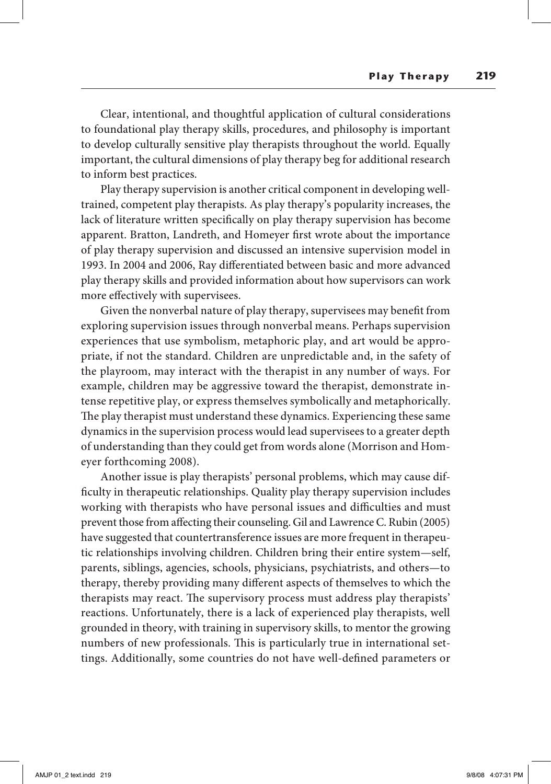Clear, intentional, and thoughtful application of cultural considerations to foundational play therapy skills, procedures, and philosophy is important to develop culturally sensitive play therapists throughout the world. Equally important, the cultural dimensions of play therapy beg for additional research to inform best practices.

Play therapy supervision is another critical component in developing welltrained, competent play therapists. As play therapy's popularity increases, the lack of literature written specifically on play therapy supervision has become apparent. Bratton, Landreth, and Homeyer first wrote about the importance of play therapy supervision and discussed an intensive supervision model in 1993. In 2004 and 2006, Ray differentiated between basic and more advanced play therapy skills and provided information about how supervisors can work more effectively with supervisees.

Given the nonverbal nature of play therapy, supervisees may benefit from exploring supervision issues through nonverbal means. Perhaps supervision experiences that use symbolism, metaphoric play, and art would be appropriate, if not the standard. Children are unpredictable and, in the safety of the playroom, may interact with the therapist in any number of ways. For example, children may be aggressive toward the therapist, demonstrate intense repetitive play, or express themselves symbolically and metaphorically. The play therapist must understand these dynamics. Experiencing these same dynamics in the supervision process would lead supervisees to a greater depth of understanding than they could get from words alone (Morrison and Homeyer forthcoming 2008).

Another issue is play therapists' personal problems, which may cause difficulty in therapeutic relationships. Quality play therapy supervision includes working with therapists who have personal issues and difficulties and must prevent those from affecting their counseling. Gil and Lawrence C. Rubin (2005) have suggested that countertransference issues are more frequent in therapeutic relationships involving children. Children bring their entire system—self, parents, siblings, agencies, schools, physicians, psychiatrists, and others—to therapy, thereby providing many different aspects of themselves to which the therapists may react. The supervisory process must address play therapists' reactions. Unfortunately, there is a lack of experienced play therapists, well grounded in theory, with training in supervisory skills, to mentor the growing numbers of new professionals. This is particularly true in international settings. Additionally, some countries do not have well-defined parameters or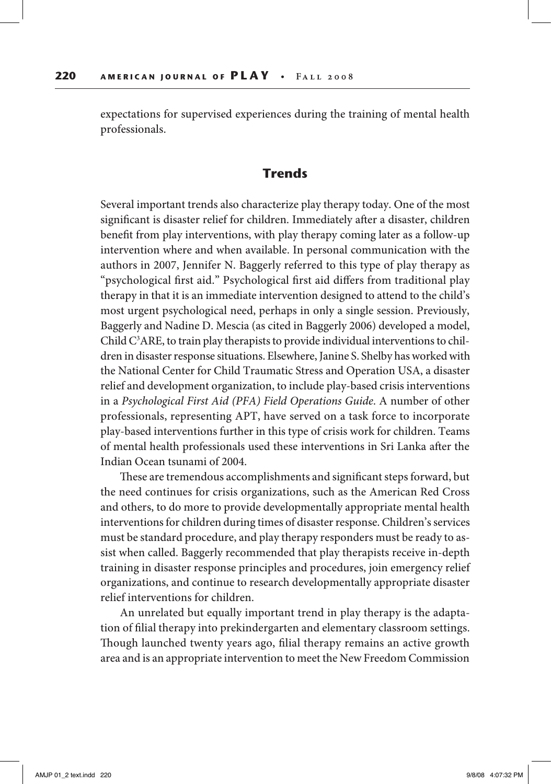expectations for supervised experiences during the training of mental health professionals.

### **Trends**

Several important trends also characterize play therapy today. One of the most significant is disaster relief for children. Immediately after a disaster, children benefit from play interventions, with play therapy coming later as a follow-up intervention where and when available. In personal communication with the authors in 2007, Jennifer N. Baggerly referred to this type of play therapy as "psychological first aid." Psychological first aid differs from traditional play therapy in that it is an immediate intervention designed to attend to the child's most urgent psychological need, perhaps in only a single session. Previously, Baggerly and Nadine D. Mescia (as cited in Baggerly 2006) developed a model, Child  $C^3$ ARE, to train play therapists to provide individual interventions to children in disaster response situations. Elsewhere, Janine S. Shelby has worked with the National Center for Child Traumatic Stress and Operation USA, a disaster relief and development organization, to include play-based crisis interventions in a *Psychological First Aid (PFA) Field Operations Guide*. A number of other professionals, representing APT, have served on a task force to incorporate play-based interventions further in this type of crisis work for children. Teams of mental health professionals used these interventions in Sri Lanka after the Indian Ocean tsunami of 2004.

These are tremendous accomplishments and significant steps forward, but the need continues for crisis organizations, such as the American Red Cross and others, to do more to provide developmentally appropriate mental health interventions for children during times of disaster response. Children's services must be standard procedure, and play therapy responders must be ready to assist when called. Baggerly recommended that play therapists receive in-depth training in disaster response principles and procedures, join emergency relief organizations, and continue to research developmentally appropriate disaster relief interventions for children.

An unrelated but equally important trend in play therapy is the adaptation of filial therapy into prekindergarten and elementary classroom settings. Though launched twenty years ago, filial therapy remains an active growth area and is an appropriate intervention to meet the New Freedom Commission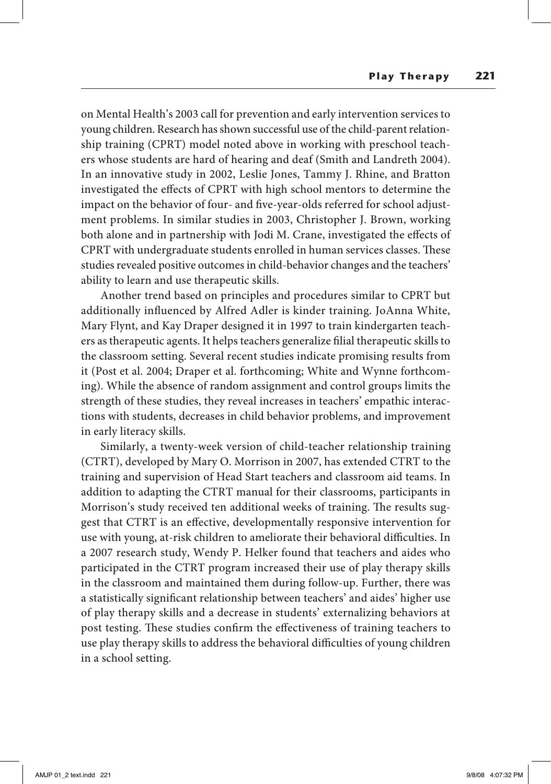on Mental Health's 2003 call for prevention and early intervention services to young children. Research has shown successful use of the child-parent relationship training (CPRT) model noted above in working with preschool teachers whose students are hard of hearing and deaf (Smith and Landreth 2004). In an innovative study in 2002, Leslie Jones, Tammy J. Rhine, and Bratton investigated the effects of CPRT with high school mentors to determine the impact on the behavior of four- and five-year-olds referred for school adjustment problems. In similar studies in 2003, Christopher J. Brown, working both alone and in partnership with Jodi M. Crane, investigated the effects of CPRT with undergraduate students enrolled in human services classes. These studies revealed positive outcomes in child-behavior changes and the teachers' ability to learn and use therapeutic skills.

Another trend based on principles and procedures similar to CPRT but additionally influenced by Alfred Adler is kinder training. JoAnna White, Mary Flynt, and Kay Draper designed it in 1997 to train kindergarten teachers as therapeutic agents. It helps teachers generalize filial therapeutic skills to the classroom setting. Several recent studies indicate promising results from it (Post et al. 2004; Draper et al. forthcoming; White and Wynne forthcoming). While the absence of random assignment and control groups limits the strength of these studies, they reveal increases in teachers' empathic interactions with students, decreases in child behavior problems, and improvement in early literacy skills.

Similarly, a twenty-week version of child-teacher relationship training (CTRT), developed by Mary O. Morrison in 2007, has extended CTRT to the training and supervision of Head Start teachers and classroom aid teams. In addition to adapting the CTRT manual for their classrooms, participants in Morrison's study received ten additional weeks of training. The results suggest that CTRT is an effective, developmentally responsive intervention for use with young, at-risk children to ameliorate their behavioral difficulties. In a 2007 research study, Wendy P. Helker found that teachers and aides who participated in the CTRT program increased their use of play therapy skills in the classroom and maintained them during follow-up. Further, there was a statistically significant relationship between teachers' and aides' higher use of play therapy skills and a decrease in students' externalizing behaviors at post testing. These studies confirm the effectiveness of training teachers to use play therapy skills to address the behavioral difficulties of young children in a school setting.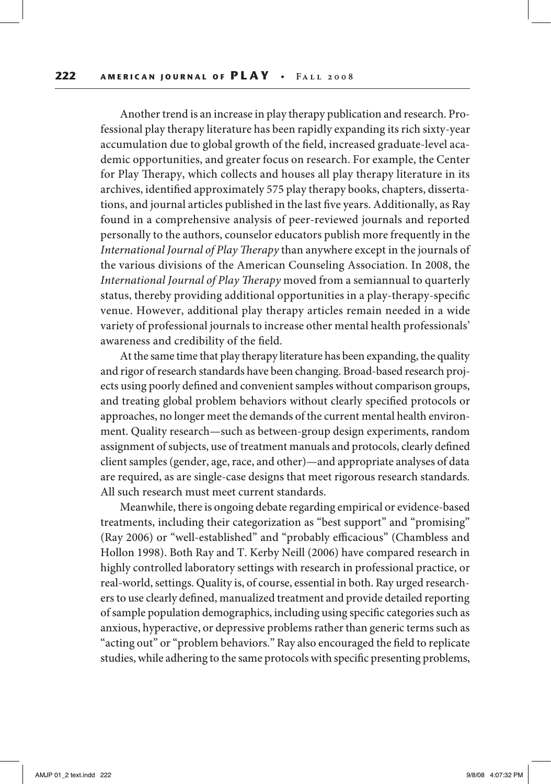Another trend is an increase in play therapy publication and research. Professional play therapy literature has been rapidly expanding its rich sixty-year accumulation due to global growth of the field, increased graduate-level academic opportunities, and greater focus on research. For example, the Center for Play Therapy, which collects and houses all play therapy literature in its archives, identified approximately 575 play therapy books, chapters, dissertations, and journal articles published in the last five years. Additionally, as Ray found in a comprehensive analysis of peer-reviewed journals and reported personally to the authors, counselor educators publish more frequently in the *International Journal of Play Therapy* than anywhere except in the journals of the various divisions of the American Counseling Association. In 2008, the *International Journal of Play Therapy* moved from a semiannual to quarterly status, thereby providing additional opportunities in a play-therapy-specific venue. However, additional play therapy articles remain needed in a wide variety of professional journals to increase other mental health professionals' awareness and credibility of the field.

At the same time that play therapy literature has been expanding, the quality and rigor of research standards have been changing. Broad-based research projects using poorly defined and convenient samples without comparison groups, and treating global problem behaviors without clearly specified protocols or approaches, no longer meet the demands of the current mental health environment. Quality research—such as between-group design experiments, random assignment of subjects, use of treatment manuals and protocols, clearly defined client samples (gender, age, race, and other)—and appropriate analyses of data are required, as are single-case designs that meet rigorous research standards. All such research must meet current standards.

Meanwhile, there is ongoing debate regarding empirical or evidence-based treatments, including their categorization as "best support" and "promising" (Ray 2006) or "well-established" and "probably efficacious" (Chambless and Hollon 1998). Both Ray and T. Kerby Neill (2006) have compared research in highly controlled laboratory settings with research in professional practice, or real-world, settings. Quality is, of course, essential in both. Ray urged researchers to use clearly defined, manualized treatment and provide detailed reporting of sample population demographics, including using specific categories such as anxious, hyperactive, or depressive problems rather than generic terms such as "acting out" or "problem behaviors." Ray also encouraged the field to replicate studies, while adhering to the same protocols with specific presenting problems,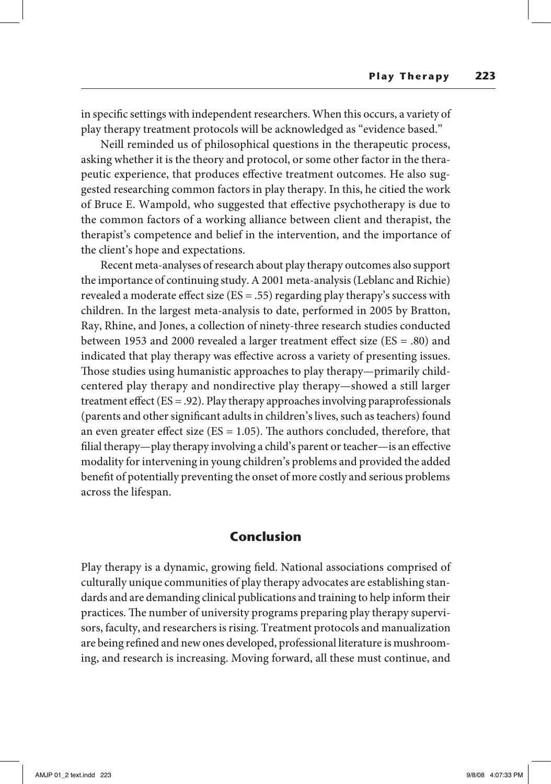in specific settings with independent researchers. When this occurs, a variety of play therapy treatment protocols will be acknowledged as "evidence based."

Neill reminded us of philosophical questions in the therapeutic process, asking whether it is the theory and protocol, or some other factor in the therapeutic experience, that produces effective treatment outcomes. He also suggested researching common factors in play therapy. In this, he citied the work of Bruce E. Wampold, who suggested that effective psychotherapy is due to the common factors of a working alliance between client and therapist, the therapist's competence and belief in the intervention, and the importance of the client's hope and expectations.

Recent meta-analyses of research about play therapy outcomes also support the importance of continuing study. A 2001 meta-analysis (Leblanc and Richie) revealed a moderate effect size (ES = .55) regarding play therapy's success with children. In the largest meta-analysis to date, performed in 2005 by Bratton, Ray, Rhine, and Jones, a collection of ninety-three research studies conducted between 1953 and 2000 revealed a larger treatment effect size (ES = .80) and indicated that play therapy was effective across a variety of presenting issues. Those studies using humanistic approaches to play therapy—primarily childcentered play therapy and nondirective play therapy—showed a still larger treatment effect (ES = .92). Play therapy approaches involving paraprofessionals (parents and other significant adults in children's lives, such as teachers) found an even greater effect size ( $ES = 1.05$ ). The authors concluded, therefore, that filial therapy—play therapy involving a child's parent or teacher—is an effective modality for intervening in young children's problems and provided the added benefit of potentially preventing the onset of more costly and serious problems across the lifespan.

# **Conclusion**

Play therapy is a dynamic, growing field. National associations comprised of culturally unique communities of play therapy advocates are establishing standards and are demanding clinical publications and training to help inform their practices. The number of university programs preparing play therapy supervisors, faculty, and researchers is rising. Treatment protocols and manualization are being refined and new ones developed, professional literature is mushrooming, and research is increasing. Moving forward, all these must continue, and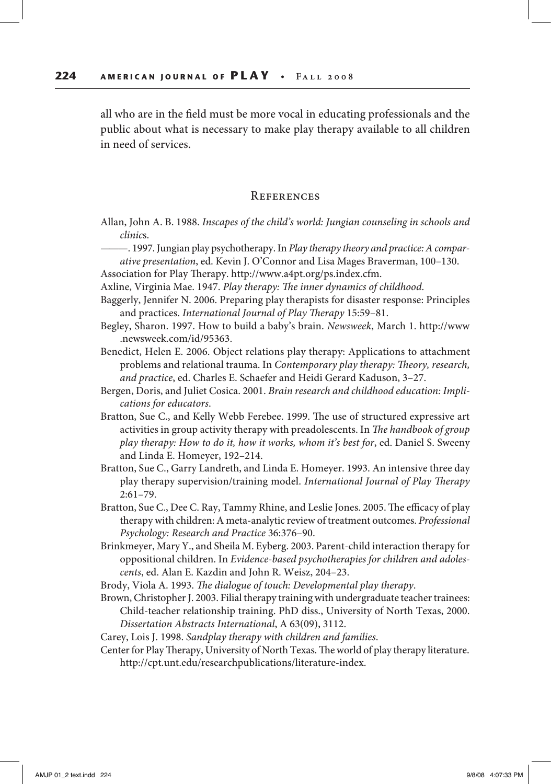all who are in the field must be more vocal in educating professionals and the public about what is necessary to make play therapy available to all children in need of services.

#### **REFERENCES**

Allan, John A. B. 1988. *Inscapes of the child's world: Jungian counseling in schools and clinic*s.

———. 1997. Jungian play psychotherapy. In *Play therapy theory and practice: A comparative presentation*, ed. Kevin J. O'Connor and Lisa Mages Braverman, 100–130.

Association for Play Therapy. http://www.a4pt.org/ps.index.cfm.

Axline, Virginia Mae. 1947. *Play therapy: The inner dynamics of childhood*.

- Baggerly, Jennifer N. 2006. Preparing play therapists for disaster response: Principles and practices. *International Journal of Play Therapy* 15:59–81.
- Begley, Sharon. 1997. How to build a baby's brain. *Newsweek*, March 1. http://www .newsweek.com/id/95363.
- Benedict, Helen E. 2006. Object relations play therapy: Applications to attachment problems and relational trauma. In *Contemporary play therapy: Theory, research, and practice*, ed. Charles E. Schaefer and Heidi Gerard Kaduson, 3–27.
- Bergen, Doris, and Juliet Cosica. 2001. *Brain research and childhood education: Implications for educators*.
- Bratton, Sue C., and Kelly Webb Ferebee. 1999. The use of structured expressive art activities in group activity therapy with preadolescents. In *The handbook of group play therapy: How to do it, how it works, whom it's best for*, ed. Daniel S. Sweeny and Linda E. Homeyer, 192–214.
- Bratton, Sue C., Garry Landreth, and Linda E. Homeyer. 1993. An intensive three day play therapy supervision/training model. *International Journal of Play Therapy* 2:61–79.
- Bratton, Sue C., Dee C. Ray, Tammy Rhine, and Leslie Jones. 2005. The efficacy of play therapy with children: A meta-analytic review of treatment outcomes. *Professional Psychology: Research and Practice* 36:376–90.
- Brinkmeyer, Mary Y., and Sheila M. Eyberg. 2003. Parent-child interaction therapy for oppositional children. In *Evidence-based psychotherapies for children and adolescents*, ed. Alan E. Kazdin and John R. Weisz, 204–23.

Brody, Viola A. 1993. *The dialogue of touch: Developmental play therapy*.

Brown, Christopher J. 2003. Filial therapy training with undergraduate teacher trainees: Child-teacher relationship training. PhD diss., University of North Texas, 2000. *Dissertation Abstracts International*, A 63(09), 3112.

Carey, Lois J. 1998. *Sandplay therapy with children and families*.

Center for Play Therapy, University of North Texas. The world of play therapy literature. http://cpt.unt.edu/researchpublications/literature-index.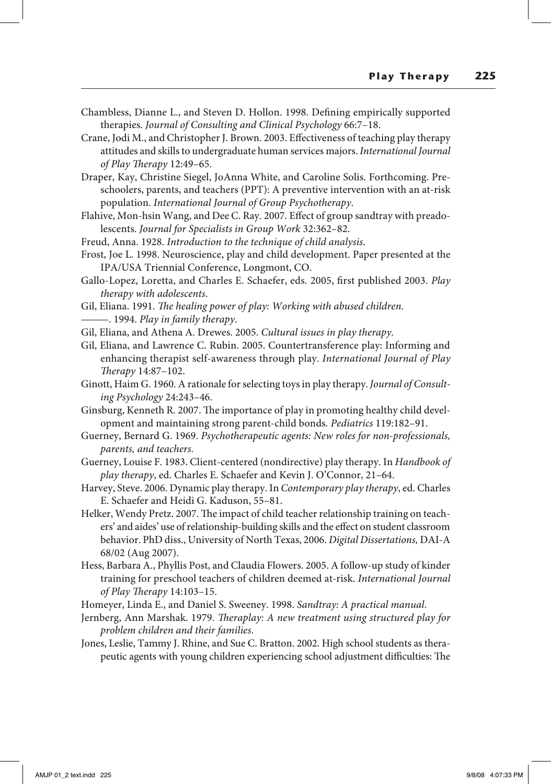- Chambless, Dianne L., and Steven D. Hollon. 1998. Defining empirically supported therapies. *Journal of Consulting and Clinical Psychology* 66:7–18.
- Crane, Jodi M., and Christopher J. Brown. 2003. Effectiveness of teaching play therapy attitudes and skills to undergraduate human services majors. *International Journal of Play Therapy* 12:49–65.
- Draper, Kay, Christine Siegel, JoAnna White, and Caroline Solis. Forthcoming. Preschoolers, parents, and teachers (PPT): A preventive intervention with an at-risk population. *International Journal of Group Psychotherapy*.
- Flahive, Mon-hsin Wang, and Dee C. Ray. 2007. Effect of group sandtray with preadolescents. *Journal for Specialists in Group Work* 32:362–82.
- Freud, Anna. 1928. *Introduction to the technique of child analysis*.
- Frost, Joe L. 1998. Neuroscience, play and child development. Paper presented at the IPA/USA Triennial Conference, Longmont, CO.
- Gallo-Lopez, Loretta, and Charles E. Schaefer, eds. 2005, first published 2003. *Play therapy with adolescents*.
- Gil, Eliana. 1991. *The healing power of play: Working with abused children.*
- ———. 1994. *Play in family therapy*.
- Gil, Eliana, and Athena A. Drewes. 2005. *Cultural issues in play therapy.*
- Gil, Eliana, and Lawrence C. Rubin. 2005. Countertransference play: Informing and enhancing therapist self-awareness through play. *International Journal of Play Therapy* 14:87–102.
- Ginott, Haim G. 1960. A rationale for selecting toys in play therapy. *Journal of Consulting Psychology* 24:243–46.
- Ginsburg, Kenneth R. 2007. The importance of play in promoting healthy child development and maintaining strong parent-child bonds*. Pediatrics* 119:182–91.
- Guerney, Bernard G. 1969. *Psychotherapeutic agents: New roles for non-professionals, parents, and teachers.*
- Guerney, Louise F. 1983. Client-centered (nondirective) play therapy. In *Handbook of play therapy*, ed. Charles E. Schaefer and Kevin J. O'Connor, 21–64.
- Harvey, Steve. 2006. Dynamic play therapy. In *Contemporary play therapy*, ed. Charles E. Schaefer and Heidi G. Kaduson, 55–81.
- Helker, Wendy Pretz. 2007. The impact of child teacher relationship training on teachers' and aides' use of relationship-building skills and the effect on student classroom behavior. PhD diss., University of North Texas, 2006. *Digital Dissertations,* DAI-A 68/02 (Aug 2007).
- Hess, Barbara A., Phyllis Post, and Claudia Flowers. 2005. A follow-up study of kinder training for preschool teachers of children deemed at-risk. *International Journal of Play Therapy* 14:103–15.
- Homeyer, Linda E., and Daniel S. Sweeney. 1998. *Sandtray: A practical manual*.
- Jernberg, Ann Marshak. 1979. *Theraplay: A new treatment using structured play for problem children and their families*.
- Jones, Leslie, Tammy J. Rhine, and Sue C. Bratton. 2002. High school students as therapeutic agents with young children experiencing school adjustment difficulties: The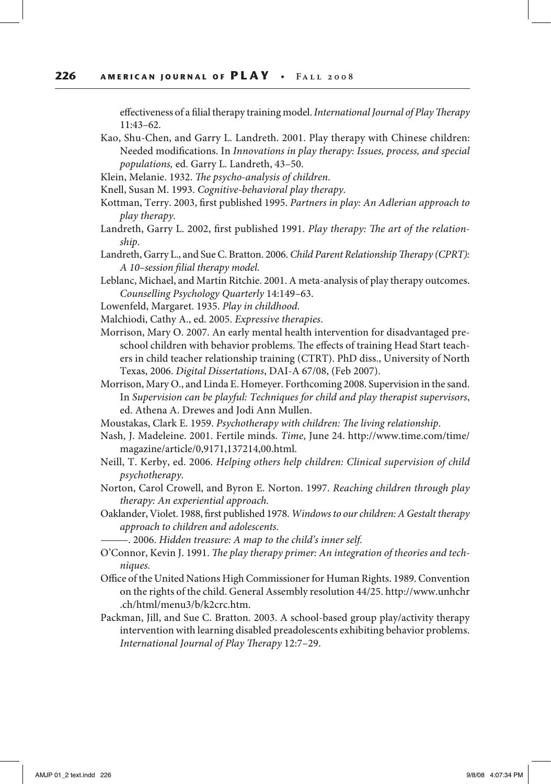effectiveness of a filial therapy training model. *International Journal of Play Therapy* 11:43–62.

- Kao, Shu-Chen, and Garry L. Landreth. 2001. Play therapy with Chinese children: Needed modifications. In *Innovations in play therapy: Issues, process, and special populations,* ed. Garry L. Landreth, 43–50.
- Klein, Melanie. 1932. *The psycho-analysis of children*.
- Knell, Susan M. 1993. *Cognitive-behavioral play therapy.*
- Kottman, Terry. 2003, first published 1995. *Partners in play: An Adlerian approach to play therapy.*
- Landreth, Garry L. 2002, first published 1991. *Play therapy: The art of the relationship*.
- Landreth, Garry L., and Sue C. Bratton. 2006. *Child Parent Relationship Therapy (CPRT): A 10–session filial therapy model*.
- Leblanc, Michael, and Martin Ritchie. 2001. A meta-analysis of play therapy outcomes. *Counselling Psychology Quarterly* 14:149–63.
- Lowenfeld, Margaret. 1935. *Play in childhood*.
- Malchiodi, Cathy A., ed. 2005. *Expressive therapies*.
- Morrison, Mary O. 2007. An early mental health intervention for disadvantaged preschool children with behavior problems. The effects of training Head Start teachers in child teacher relationship training (CTRT). PhD diss., University of North Texas, 2006. *Digital Dissertations*, DAI-A 67/08, (Feb 2007).
- Morrison, Mary O., and Linda E. Homeyer. Forthcoming 2008. Supervision in the sand. In *Supervision can be playful: Techniques for child and play therapist supervisors*, ed. Athena A. Drewes and Jodi Ann Mullen.
- Moustakas, Clark E. 1959. *Psychotherapy with children: The living relationship*.
- Nash, J. Madeleine. 2001. Fertile minds. *Time*, June 24. http://www.time.com/time/ magazine/article/0,9171,137214,00.html.
- Neill, T. Kerby, ed. 2006. *Helping others help children: Clinical supervision of child psychotherapy.*
- Norton, Carol Crowell, and Byron E. Norton. 1997. *Reaching children through play therapy: An experiential approach.*
- Oaklander, Violet. 1988, first published 1978. *Windows to our children: A Gestalt therapy approach to children and adolescents*.
	- ———. 2006. *Hidden treasure: A map to the child's inner self.*
- O'Connor, Kevin J. 1991. *The play therapy primer: An integration of theories and techniques.*
- Office of the United Nations High Commissioner for Human Rights. 1989. Convention on the rights of the child. General Assembly resolution 44/25. http://www.unhchr .ch/html/menu3/b/k2crc.htm.
- Packman, Jill, and Sue C. Bratton. 2003. A school-based group play/activity therapy intervention with learning disabled preadolescents exhibiting behavior problems. *International Journal of Play Therapy* 12:7–29.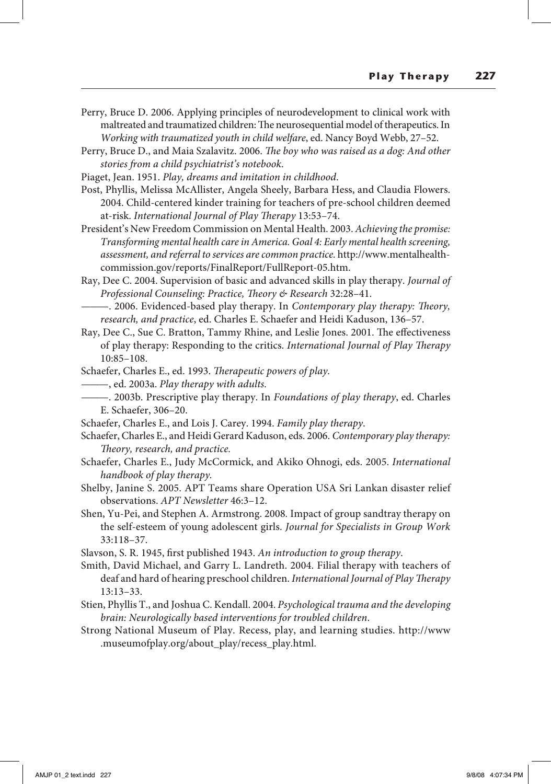- Perry, Bruce D. 2006. Applying principles of neurodevelopment to clinical work with maltreated and traumatized children: The neurosequential model of therapeutics. In *Working with traumatized youth in child welfare*, ed. Nancy Boyd Webb, 27–52.
- Perry, Bruce D., and Maia Szalavitz. 2006. *The boy who was raised as a dog: And other stories from a child psychiatrist's notebook*.
- Piaget, Jean. 1951. *Play, dreams and imitation in childhood*.
- Post, Phyllis, Melissa McAllister, Angela Sheely, Barbara Hess, and Claudia Flowers. 2004. Child-centered kinder training for teachers of pre-school children deemed at-risk. *International Journal of Play Therapy* 13:53–74.
- President's New Freedom Commission on Mental Health. 2003. *Achieving the promise: Transforming mental health care in America. Goal 4: Early mental health screening, assessment, and referral to services are common practice.* http://www.mentalhealthcommission.gov/reports/FinalReport/FullReport-05.htm.
- Ray, Dee C. 2004. Supervision of basic and advanced skills in play therapy. *Journal of Professional Counseling: Practice, Theory & Research* 32:28–41.
	- ———. 2006. Evidenced-based play therapy. In *Contemporary play therapy: Theory, research, and practice*, ed. Charles E. Schaefer and Heidi Kaduson, 136–57.
- Ray, Dee C., Sue C. Bratton, Tammy Rhine, and Leslie Jones. 2001. The effectiveness of play therapy: Responding to the critics. *International Journal of Play Therapy* 10:85–108.
- Schaefer, Charles E., ed. 1993. *Therapeutic powers of play.*
	- ———, ed. 2003a. *Play therapy with adults.*
- ———. 2003b. Prescriptive play therapy. In *Foundations of play therapy*, ed. Charles E. Schaefer, 306–20.
- Schaefer, Charles E., and Lois J. Carey. 1994. *Family play therapy*.
- Schaefer, Charles E., and Heidi Gerard Kaduson, eds. 2006. *Contemporary play therapy: Theory, research, and practice.*
- Schaefer, Charles E., Judy McCormick, and Akiko Ohnogi, eds. 2005. *International handbook of play therapy.*
- Shelby, Janine S. 2005. APT Teams share Operation USA Sri Lankan disaster relief observations. *APT Newsletter* 46:3–12.
- Shen, Yu-Pei, and Stephen A. Armstrong. 2008*.* Impact of group sandtray therapy on the self-esteem of young adolescent girls. *Journal for Specialists in Group Work* 33:118–37.
- Slavson, S. R. 1945, first published 1943. *An introduction to group therapy*.
- Smith, David Michael, and Garry L. Landreth. 2004. Filial therapy with teachers of deaf and hard of hearing preschool children. *International Journal of Play Therapy* 13:13–33.
- Stien, Phyllis T., and Joshua C. Kendall. 2004. *Psychological trauma and the developing brain: Neurologically based interventions for troubled children*.
- Strong National Museum of Play. Recess, play, and learning studies. http://www .museumofplay.org/about\_play/recess\_play.html.